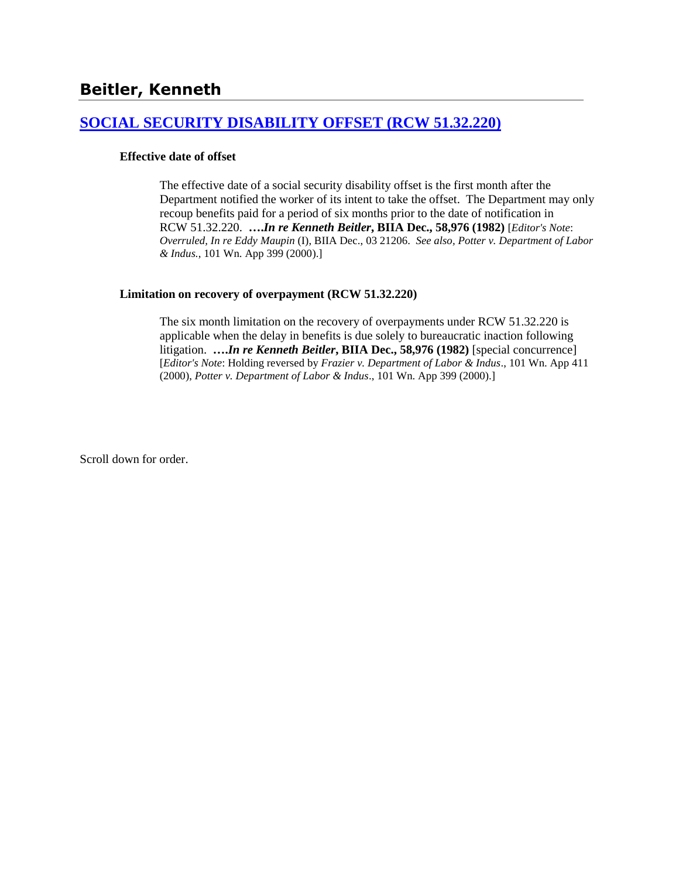# **[SOCIAL SECURITY DISABILITY OFFSET \(RCW 51.32.220\)](http://www.biia.wa.gov/SDSubjectIndex.html#SOCIAL_SECURITY_DISABILITY_OFFSET)**

### **Effective date of offset**

The effective date of a social security disability offset is the first month after the Department notified the worker of its intent to take the offset. The Department may only recoup benefits paid for a period of six months prior to the date of notification in RCW 51.32.220. **….***In re Kenneth Beitler***, BIIA Dec., 58,976 (1982)** [*Editor's Note*: *Overruled, In re Eddy Maupin* (I), BIIA Dec., 03 21206. *See also, Potter v. Department of Labor & Indus.*, 101 Wn. App 399 (2000).]

### **Limitation on recovery of overpayment (RCW 51.32.220)**

The six month limitation on the recovery of overpayments under RCW 51.32.220 is applicable when the delay in benefits is due solely to bureaucratic inaction following litigation. **….***In re Kenneth Beitler***, BIIA Dec., 58,976 (1982)** [special concurrence] [*Editor's Note*: Holding reversed by *Frazier v. Department of Labor & Indus*., 101 Wn. App 411 (2000), *Potter v. Department of Labor & Indus*., 101 Wn. App 399 (2000).]

Scroll down for order.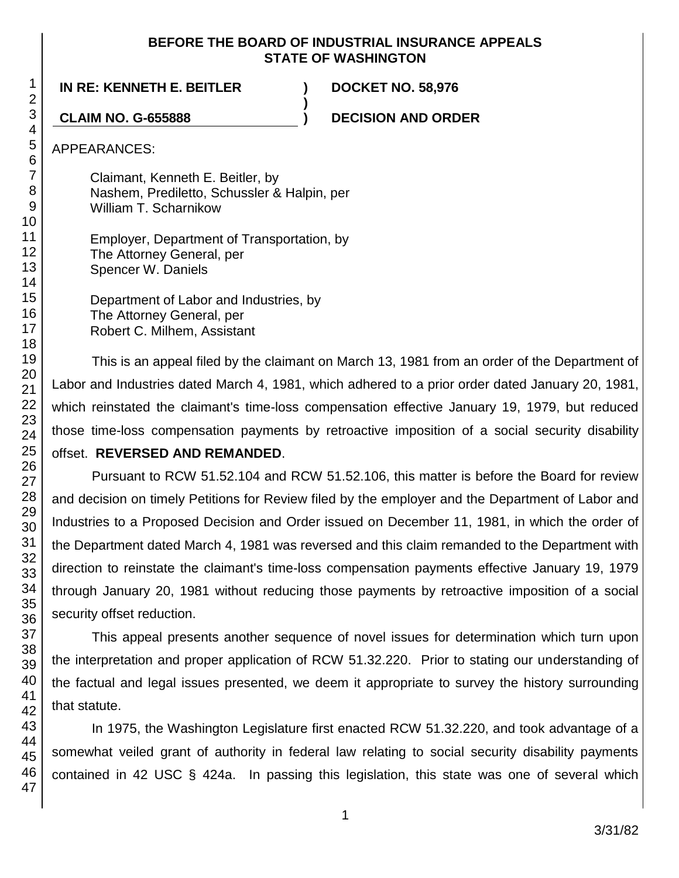## **BEFORE THE BOARD OF INDUSTRIAL INSURANCE APPEALS STATE OF WASHINGTON**

**)**

**IN RE: KENNETH E. BEITLER ) DOCKET NO. 58,976**

**CLAIM NO. G-655888 ) DECISION AND ORDER**

APPEARANCES:

Claimant, Kenneth E. Beitler, by Nashem, Prediletto, Schussler & Halpin, per William T. Scharnikow

Employer, Department of Transportation, by The Attorney General, per Spencer W. Daniels

Department of Labor and Industries, by The Attorney General, per Robert C. Milhem, Assistant

This is an appeal filed by the claimant on March 13, 1981 from an order of the Department of Labor and Industries dated March 4, 1981, which adhered to a prior order dated January 20, 1981, which reinstated the claimant's time-loss compensation effective January 19, 1979, but reduced those time-loss compensation payments by retroactive imposition of a social security disability offset. **REVERSED AND REMANDED**.

Pursuant to RCW 51.52.104 and RCW 51.52.106, this matter is before the Board for review and decision on timely Petitions for Review filed by the employer and the Department of Labor and Industries to a Proposed Decision and Order issued on December 11, 1981, in which the order of the Department dated March 4, 1981 was reversed and this claim remanded to the Department with direction to reinstate the claimant's time-loss compensation payments effective January 19, 1979 through January 20, 1981 without reducing those payments by retroactive imposition of a social security offset reduction.

This appeal presents another sequence of novel issues for determination which turn upon the interpretation and proper application of RCW 51.32.220. Prior to stating our understanding of the factual and legal issues presented, we deem it appropriate to survey the history surrounding that statute.

In 1975, the Washington Legislature first enacted RCW 51.32.220, and took advantage of a somewhat veiled grant of authority in federal law relating to social security disability payments contained in 42 USC § 424a. In passing this legislation, this state was one of several which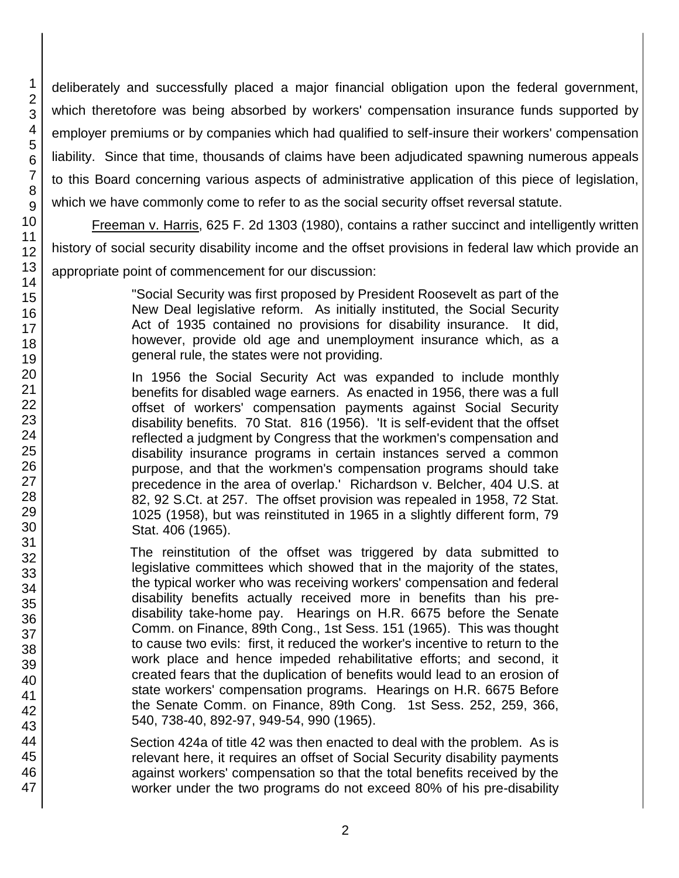deliberately and successfully placed a major financial obligation upon the federal government, which theretofore was being absorbed by workers' compensation insurance funds supported by employer premiums or by companies which had qualified to self-insure their workers' compensation liability. Since that time, thousands of claims have been adjudicated spawning numerous appeals to this Board concerning various aspects of administrative application of this piece of legislation, which we have commonly come to refer to as the social security offset reversal statute.

Freeman v. Harris, 625 F. 2d 1303 (1980), contains a rather succinct and intelligently written history of social security disability income and the offset provisions in federal law which provide an appropriate point of commencement for our discussion:

> "Social Security was first proposed by President Roosevelt as part of the New Deal legislative reform. As initially instituted, the Social Security Act of 1935 contained no provisions for disability insurance. It did, however, provide old age and unemployment insurance which, as a general rule, the states were not providing.

> In 1956 the Social Security Act was expanded to include monthly benefits for disabled wage earners. As enacted in 1956, there was a full offset of workers' compensation payments against Social Security disability benefits. 70 Stat. 816 (1956). 'It is self-evident that the offset reflected a judgment by Congress that the workmen's compensation and disability insurance programs in certain instances served a common purpose, and that the workmen's compensation programs should take precedence in the area of overlap.' Richardson v. Belcher, 404 U.S. at 82, 92 S.Ct. at 257. The offset provision was repealed in 1958, 72 Stat. 1025 (1958), but was reinstituted in 1965 in a slightly different form, 79 Stat. 406 (1965).

> The reinstitution of the offset was triggered by data submitted to legislative committees which showed that in the majority of the states, the typical worker who was receiving workers' compensation and federal disability benefits actually received more in benefits than his predisability take-home pay. Hearings on H.R. 6675 before the Senate Comm. on Finance, 89th Cong., 1st Sess. 151 (1965). This was thought to cause two evils: first, it reduced the worker's incentive to return to the work place and hence impeded rehabilitative efforts; and second, it created fears that the duplication of benefits would lead to an erosion of state workers' compensation programs. Hearings on H.R. 6675 Before the Senate Comm. on Finance, 89th Cong. 1st Sess. 252, 259, 366, 540, 738-40, 892-97, 949-54, 990 (1965).

> Section 424a of title 42 was then enacted to deal with the problem. As is relevant here, it requires an offset of Social Security disability payments against workers' compensation so that the total benefits received by the worker under the two programs do not exceed 80% of his pre-disability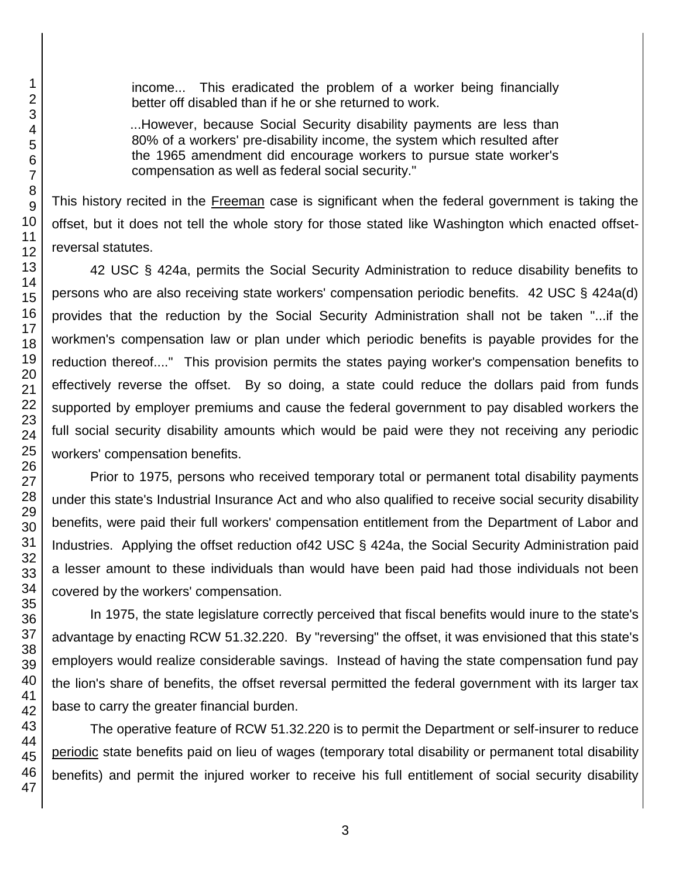46 47

1

income... This eradicated the problem of a worker being financially better off disabled than if he or she returned to work.

...However, because Social Security disability payments are less than 80% of a workers' pre-disability income, the system which resulted after the 1965 amendment did encourage workers to pursue state worker's compensation as well as federal social security."

This history recited in the Freeman case is significant when the federal government is taking the offset, but it does not tell the whole story for those stated like Washington which enacted offsetreversal statutes.

42 USC § 424a, permits the Social Security Administration to reduce disability benefits to persons who are also receiving state workers' compensation periodic benefits. 42 USC § 424a(d) provides that the reduction by the Social Security Administration shall not be taken "...if the workmen's compensation law or plan under which periodic benefits is payable provides for the reduction thereof...." This provision permits the states paying worker's compensation benefits to effectively reverse the offset. By so doing, a state could reduce the dollars paid from funds supported by employer premiums and cause the federal government to pay disabled workers the full social security disability amounts which would be paid were they not receiving any periodic workers' compensation benefits.

Prior to 1975, persons who received temporary total or permanent total disability payments under this state's Industrial Insurance Act and who also qualified to receive social security disability benefits, were paid their full workers' compensation entitlement from the Department of Labor and Industries. Applying the offset reduction of42 USC § 424a, the Social Security Administration paid a lesser amount to these individuals than would have been paid had those individuals not been covered by the workers' compensation.

In 1975, the state legislature correctly perceived that fiscal benefits would inure to the state's advantage by enacting RCW 51.32.220. By "reversing" the offset, it was envisioned that this state's employers would realize considerable savings. Instead of having the state compensation fund pay the lion's share of benefits, the offset reversal permitted the federal government with its larger tax base to carry the greater financial burden.

The operative feature of RCW 51.32.220 is to permit the Department or self-insurer to reduce periodic state benefits paid on lieu of wages (temporary total disability or permanent total disability benefits) and permit the injured worker to receive his full entitlement of social security disability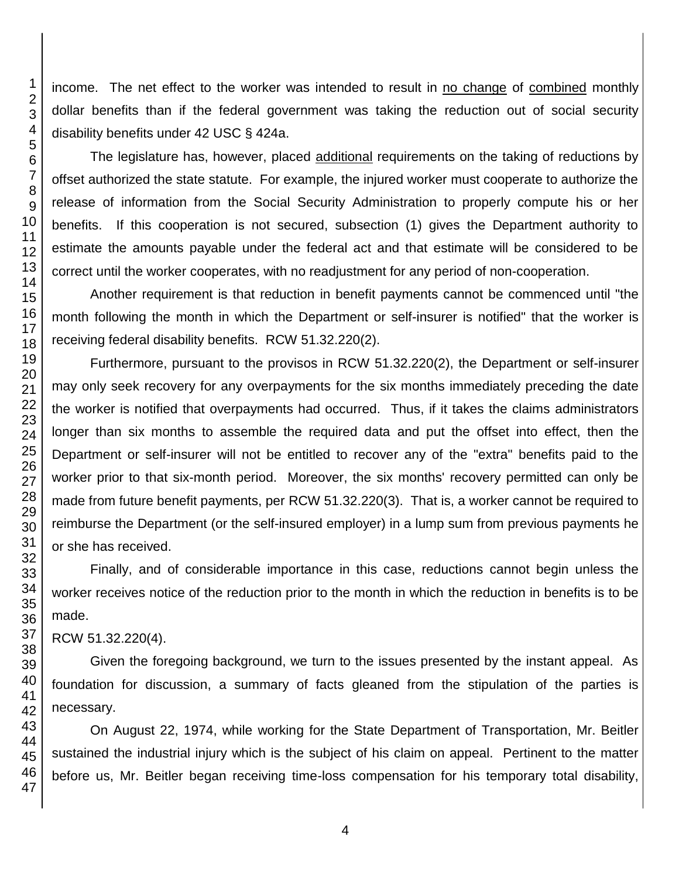income. The net effect to the worker was intended to result in no change of combined monthly dollar benefits than if the federal government was taking the reduction out of social security disability benefits under 42 USC § 424a.

The legislature has, however, placed additional requirements on the taking of reductions by offset authorized the state statute. For example, the injured worker must cooperate to authorize the release of information from the Social Security Administration to properly compute his or her benefits. If this cooperation is not secured, subsection (1) gives the Department authority to estimate the amounts payable under the federal act and that estimate will be considered to be correct until the worker cooperates, with no readjustment for any period of non-cooperation.

Another requirement is that reduction in benefit payments cannot be commenced until "the month following the month in which the Department or self-insurer is notified" that the worker is receiving federal disability benefits. RCW 51.32.220(2).

Furthermore, pursuant to the provisos in RCW 51.32.220(2), the Department or self-insurer may only seek recovery for any overpayments for the six months immediately preceding the date the worker is notified that overpayments had occurred. Thus, if it takes the claims administrators longer than six months to assemble the required data and put the offset into effect, then the Department or self-insurer will not be entitled to recover any of the "extra" benefits paid to the worker prior to that six-month period. Moreover, the six months' recovery permitted can only be made from future benefit payments, per RCW 51.32.220(3). That is, a worker cannot be required to reimburse the Department (or the self-insured employer) in a lump sum from previous payments he or she has received.

Finally, and of considerable importance in this case, reductions cannot begin unless the worker receives notice of the reduction prior to the month in which the reduction in benefits is to be made.

RCW 51.32.220(4).

Given the foregoing background, we turn to the issues presented by the instant appeal. As foundation for discussion, a summary of facts gleaned from the stipulation of the parties is necessary.

On August 22, 1974, while working for the State Department of Transportation, Mr. Beitler sustained the industrial injury which is the subject of his claim on appeal. Pertinent to the matter before us, Mr. Beitler began receiving time-loss compensation for his temporary total disability,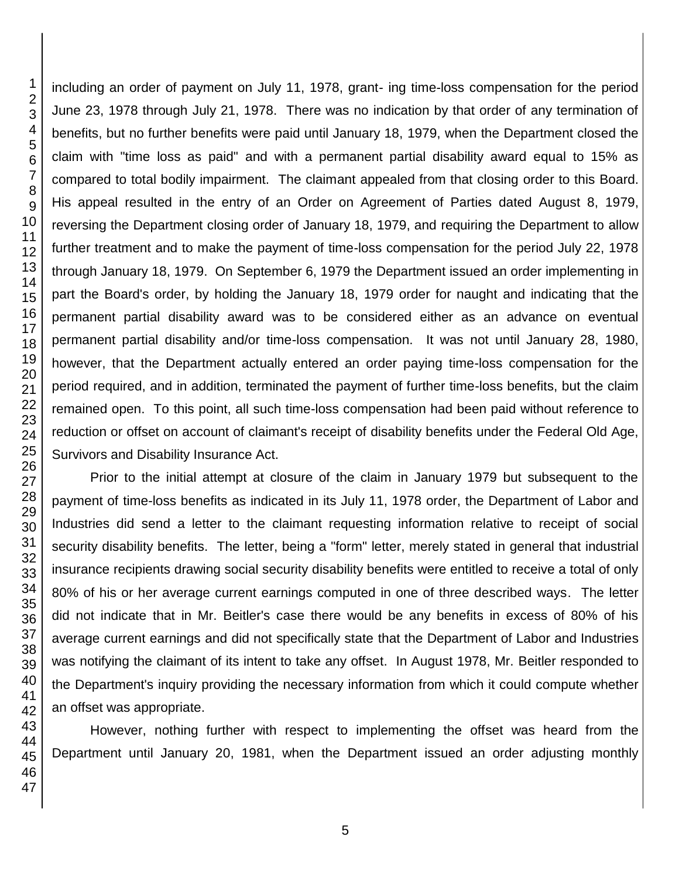including an order of payment on July 11, 1978, grant- ing time-loss compensation for the period June 23, 1978 through July 21, 1978. There was no indication by that order of any termination of benefits, but no further benefits were paid until January 18, 1979, when the Department closed the claim with "time loss as paid" and with a permanent partial disability award equal to 15% as compared to total bodily impairment. The claimant appealed from that closing order to this Board. His appeal resulted in the entry of an Order on Agreement of Parties dated August 8, 1979, reversing the Department closing order of January 18, 1979, and requiring the Department to allow further treatment and to make the payment of time-loss compensation for the period July 22, 1978 through January 18, 1979. On September 6, 1979 the Department issued an order implementing in part the Board's order, by holding the January 18, 1979 order for naught and indicating that the permanent partial disability award was to be considered either as an advance on eventual permanent partial disability and/or time-loss compensation. It was not until January 28, 1980, however, that the Department actually entered an order paying time-loss compensation for the period required, and in addition, terminated the payment of further time-loss benefits, but the claim remained open. To this point, all such time-loss compensation had been paid without reference to reduction or offset on account of claimant's receipt of disability benefits under the Federal Old Age, Survivors and Disability Insurance Act.

Prior to the initial attempt at closure of the claim in January 1979 but subsequent to the payment of time-loss benefits as indicated in its July 11, 1978 order, the Department of Labor and Industries did send a letter to the claimant requesting information relative to receipt of social security disability benefits. The letter, being a "form" letter, merely stated in general that industrial insurance recipients drawing social security disability benefits were entitled to receive a total of only 80% of his or her average current earnings computed in one of three described ways. The letter did not indicate that in Mr. Beitler's case there would be any benefits in excess of 80% of his average current earnings and did not specifically state that the Department of Labor and Industries was notifying the claimant of its intent to take any offset. In August 1978, Mr. Beitler responded to the Department's inquiry providing the necessary information from which it could compute whether an offset was appropriate.

However, nothing further with respect to implementing the offset was heard from the Department until January 20, 1981, when the Department issued an order adjusting monthly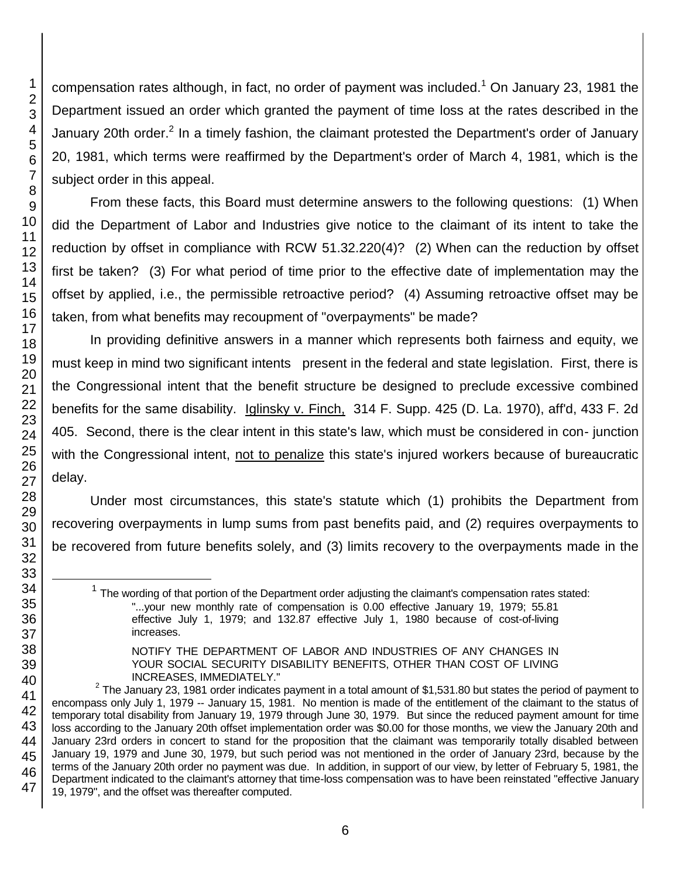compensation rates although, in fact, no order of payment was included.<sup>1</sup> On January 23, 1981 the Department issued an order which granted the payment of time loss at the rates described in the January 20th order.<sup>2</sup> In a timely fashion, the claimant protested the Department's order of January 20, 1981, which terms were reaffirmed by the Department's order of March 4, 1981, which is the subject order in this appeal.

From these facts, this Board must determine answers to the following questions: (1) When did the Department of Labor and Industries give notice to the claimant of its intent to take the reduction by offset in compliance with RCW 51.32.220(4)? (2) When can the reduction by offset first be taken? (3) For what period of time prior to the effective date of implementation may the offset by applied, i.e., the permissible retroactive period? (4) Assuming retroactive offset may be taken, from what benefits may recoupment of "overpayments" be made?

In providing definitive answers in a manner which represents both fairness and equity, we must keep in mind two significant intents present in the federal and state legislation. First, there is the Congressional intent that the benefit structure be designed to preclude excessive combined benefits for the same disability. Iglinsky v. Finch, 314 F. Supp. 425 (D. La. 1970), aff'd, 433 F. 2d 405. Second, there is the clear intent in this state's law, which must be considered in con- junction with the Congressional intent, not to penalize this state's injured workers because of bureaucratic delay.

Under most circumstances, this state's statute which (1) prohibits the Department from recovering overpayments in lump sums from past benefits paid, and (2) requires overpayments to be recovered from future benefits solely, and (3) limits recovery to the overpayments made in the

l

 $1$  The wording of that portion of the Department order adjusting the claimant's compensation rates stated: "...your new monthly rate of compensation is 0.00 effective January 19, 1979; 55.81 effective July 1, 1979; and 132.87 effective July 1, 1980 because of cost-of-living increases.

NOTIFY THE DEPARTMENT OF LABOR AND INDUSTRIES OF ANY CHANGES IN YOUR SOCIAL SECURITY DISABILITY BENEFITS, OTHER THAN COST OF LIVING INCREASES, IMMEDIATELY."

 $2$  The January 23, 1981 order indicates payment in a total amount of \$1,531.80 but states the period of payment to encompass only July 1, 1979 -- January 15, 1981. No mention is made of the entitlement of the claimant to the status of temporary total disability from January 19, 1979 through June 30, 1979. But since the reduced payment amount for time loss according to the January 20th offset implementation order was \$0.00 for those months, we view the January 20th and January 23rd orders in concert to stand for the proposition that the claimant was temporarily totally disabled between January 19, 1979 and June 30, 1979, but such period was not mentioned in the order of January 23rd, because by the terms of the January 20th order no payment was due. In addition, in support of our view, by letter of February 5, 1981, the Department indicated to the claimant's attorney that time-loss compensation was to have been reinstated "effective January 19, 1979", and the offset was thereafter computed.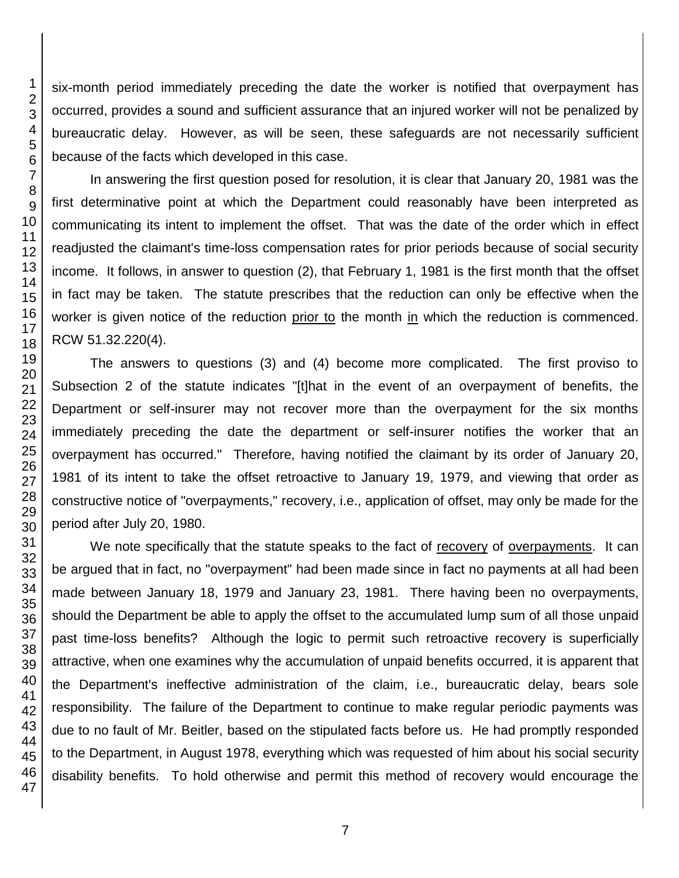six-month period immediately preceding the date the worker is notified that overpayment has occurred, provides a sound and sufficient assurance that an injured worker will not be penalized by bureaucratic delay. However, as will be seen, these safeguards are not necessarily sufficient because of the facts which developed in this case.

In answering the first question posed for resolution, it is clear that January 20, 1981 was the first determinative point at which the Department could reasonably have been interpreted as communicating its intent to implement the offset. That was the date of the order which in effect readjusted the claimant's time-loss compensation rates for prior periods because of social security income. It follows, in answer to question (2), that February 1, 1981 is the first month that the offset in fact may be taken. The statute prescribes that the reduction can only be effective when the worker is given notice of the reduction prior to the month in which the reduction is commenced. RCW 51.32.220(4).

The answers to questions (3) and (4) become more complicated. The first proviso to Subsection 2 of the statute indicates "[t]hat in the event of an overpayment of benefits, the Department or self-insurer may not recover more than the overpayment for the six months immediately preceding the date the department or self-insurer notifies the worker that an overpayment has occurred." Therefore, having notified the claimant by its order of January 20, 1981 of its intent to take the offset retroactive to January 19, 1979, and viewing that order as constructive notice of "overpayments," recovery, i.e., application of offset, may only be made for the period after July 20, 1980.

We note specifically that the statute speaks to the fact of recovery of overpayments. It can be argued that in fact, no "overpayment" had been made since in fact no payments at all had been made between January 18, 1979 and January 23, 1981. There having been no overpayments, should the Department be able to apply the offset to the accumulated lump sum of all those unpaid past time-loss benefits? Although the logic to permit such retroactive recovery is superficially attractive, when one examines why the accumulation of unpaid benefits occurred, it is apparent that the Department's ineffective administration of the claim, i.e., bureaucratic delay, bears sole responsibility. The failure of the Department to continue to make regular periodic payments was due to no fault of Mr. Beitler, based on the stipulated facts before us. He had promptly responded to the Department, in August 1978, everything which was requested of him about his social security disability benefits. To hold otherwise and permit this method of recovery would encourage the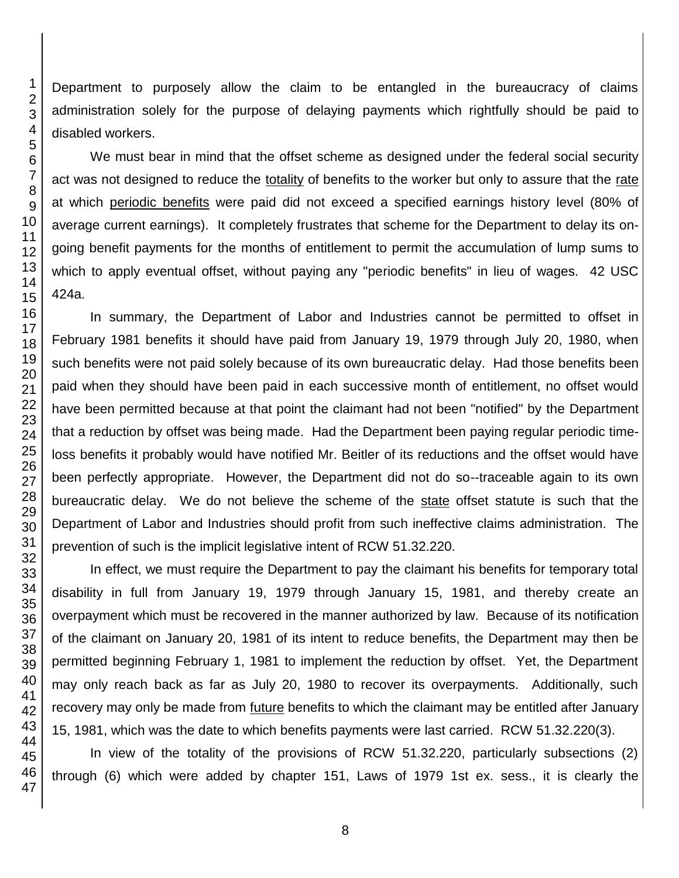Department to purposely allow the claim to be entangled in the bureaucracy of claims administration solely for the purpose of delaying payments which rightfully should be paid to disabled workers.

We must bear in mind that the offset scheme as designed under the federal social security act was not designed to reduce the totality of benefits to the worker but only to assure that the rate at which periodic benefits were paid did not exceed a specified earnings history level (80% of average current earnings). It completely frustrates that scheme for the Department to delay its ongoing benefit payments for the months of entitlement to permit the accumulation of lump sums to which to apply eventual offset, without paying any "periodic benefits" in lieu of wages. 42 USC 424a.

In summary, the Department of Labor and Industries cannot be permitted to offset in February 1981 benefits it should have paid from January 19, 1979 through July 20, 1980, when such benefits were not paid solely because of its own bureaucratic delay. Had those benefits been paid when they should have been paid in each successive month of entitlement, no offset would have been permitted because at that point the claimant had not been "notified" by the Department that a reduction by offset was being made. Had the Department been paying regular periodic timeloss benefits it probably would have notified Mr. Beitler of its reductions and the offset would have been perfectly appropriate. However, the Department did not do so--traceable again to its own bureaucratic delay. We do not believe the scheme of the state offset statute is such that the Department of Labor and Industries should profit from such ineffective claims administration. The prevention of such is the implicit legislative intent of RCW 51.32.220.

In effect, we must require the Department to pay the claimant his benefits for temporary total disability in full from January 19, 1979 through January 15, 1981, and thereby create an overpayment which must be recovered in the manner authorized by law. Because of its notification of the claimant on January 20, 1981 of its intent to reduce benefits, the Department may then be permitted beginning February 1, 1981 to implement the reduction by offset. Yet, the Department may only reach back as far as July 20, 1980 to recover its overpayments. Additionally, such recovery may only be made from future benefits to which the claimant may be entitled after January 15, 1981, which was the date to which benefits payments were last carried. RCW 51.32.220(3).

In view of the totality of the provisions of RCW 51.32.220, particularly subsections (2) through (6) which were added by chapter 151, Laws of 1979 1st ex. sess., it is clearly the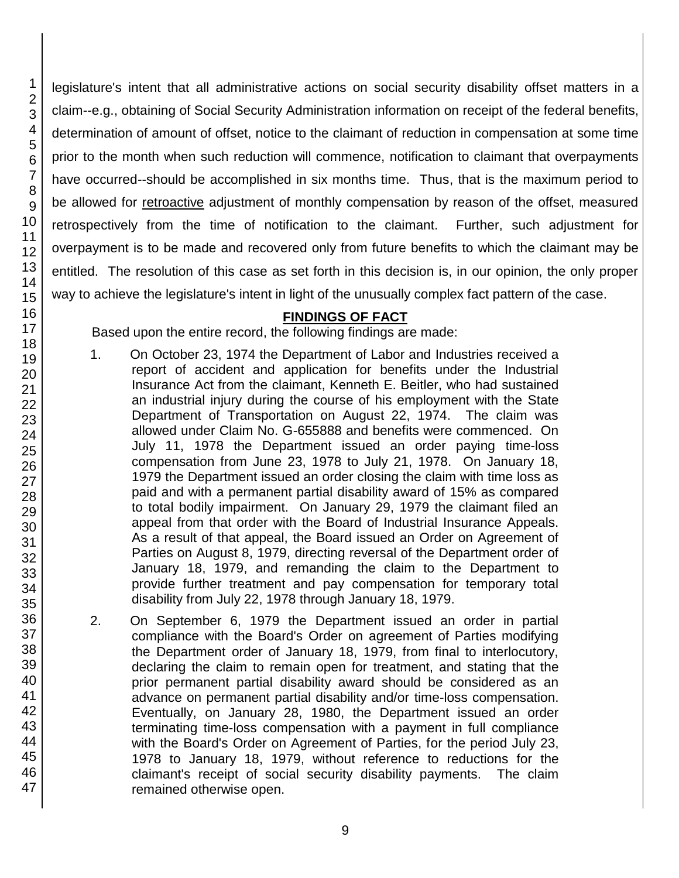46 47

1 2 3

legislature's intent that all administrative actions on social security disability offset matters in a claim--e.g., obtaining of Social Security Administration information on receipt of the federal benefits, determination of amount of offset, notice to the claimant of reduction in compensation at some time prior to the month when such reduction will commence, notification to claimant that overpayments have occurred--should be accomplished in six months time. Thus, that is the maximum period to be allowed for retroactive adjustment of monthly compensation by reason of the offset, measured retrospectively from the time of notification to the claimant. Further, such adjustment for overpayment is to be made and recovered only from future benefits to which the claimant may be entitled. The resolution of this case as set forth in this decision is, in our opinion, the only proper way to achieve the legislature's intent in light of the unusually complex fact pattern of the case.

# **FINDINGS OF FACT**

Based upon the entire record, the following findings are made:

- 1. On October 23, 1974 the Department of Labor and Industries received a report of accident and application for benefits under the Industrial Insurance Act from the claimant, Kenneth E. Beitler, who had sustained an industrial injury during the course of his employment with the State Department of Transportation on August 22, 1974. The claim was allowed under Claim No. G-655888 and benefits were commenced. On July 11, 1978 the Department issued an order paying time-loss compensation from June 23, 1978 to July 21, 1978. On January 18, 1979 the Department issued an order closing the claim with time loss as paid and with a permanent partial disability award of 15% as compared to total bodily impairment. On January 29, 1979 the claimant filed an appeal from that order with the Board of Industrial Insurance Appeals. As a result of that appeal, the Board issued an Order on Agreement of Parties on August 8, 1979, directing reversal of the Department order of January 18, 1979, and remanding the claim to the Department to provide further treatment and pay compensation for temporary total disability from July 22, 1978 through January 18, 1979.
- 2. On September 6, 1979 the Department issued an order in partial compliance with the Board's Order on agreement of Parties modifying the Department order of January 18, 1979, from final to interlocutory, declaring the claim to remain open for treatment, and stating that the prior permanent partial disability award should be considered as an advance on permanent partial disability and/or time-loss compensation. Eventually, on January 28, 1980, the Department issued an order terminating time-loss compensation with a payment in full compliance with the Board's Order on Agreement of Parties, for the period July 23, 1978 to January 18, 1979, without reference to reductions for the claimant's receipt of social security disability payments. The claim remained otherwise open.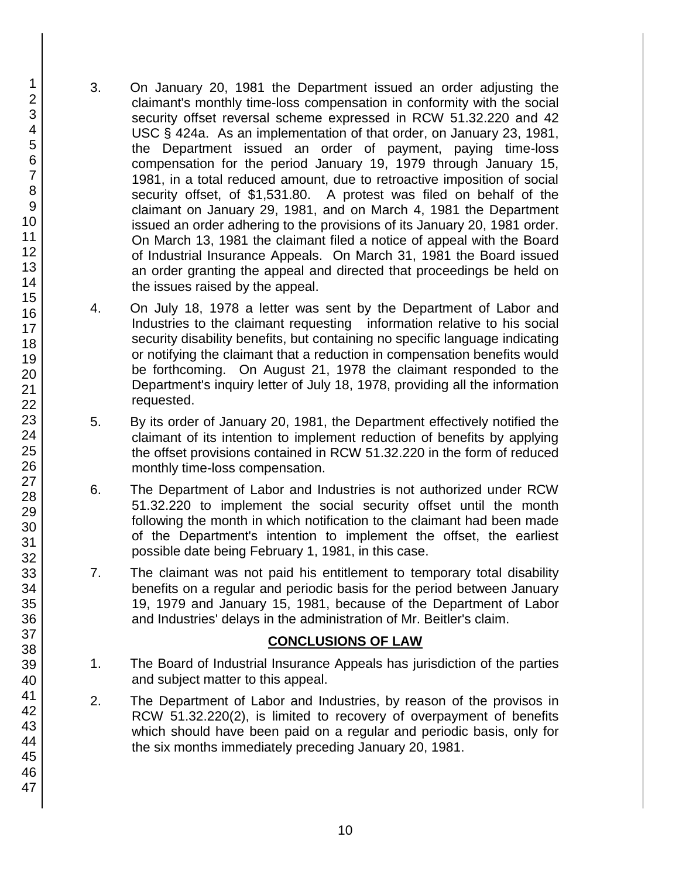- 3. On January 20, 1981 the Department issued an order adjusting the claimant's monthly time-loss compensation in conformity with the social security offset reversal scheme expressed in RCW 51.32.220 and 42 USC § 424a. As an implementation of that order, on January 23, 1981, the Department issued an order of payment, paying time-loss compensation for the period January 19, 1979 through January 15, 1981, in a total reduced amount, due to retroactive imposition of social security offset, of \$1,531.80. A protest was filed on behalf of the claimant on January 29, 1981, and on March 4, 1981 the Department issued an order adhering to the provisions of its January 20, 1981 order. On March 13, 1981 the claimant filed a notice of appeal with the Board of Industrial Insurance Appeals. On March 31, 1981 the Board issued an order granting the appeal and directed that proceedings be held on the issues raised by the appeal.
- 4. On July 18, 1978 a letter was sent by the Department of Labor and Industries to the claimant requesting information relative to his social security disability benefits, but containing no specific language indicating or notifying the claimant that a reduction in compensation benefits would be forthcoming. On August 21, 1978 the claimant responded to the Department's inquiry letter of July 18, 1978, providing all the information requested.
- 5. By its order of January 20, 1981, the Department effectively notified the claimant of its intention to implement reduction of benefits by applying the offset provisions contained in RCW 51.32.220 in the form of reduced monthly time-loss compensation.
- 6. The Department of Labor and Industries is not authorized under RCW 51.32.220 to implement the social security offset until the month following the month in which notification to the claimant had been made of the Department's intention to implement the offset, the earliest possible date being February 1, 1981, in this case.
- 7. The claimant was not paid his entitlement to temporary total disability benefits on a regular and periodic basis for the period between January 19, 1979 and January 15, 1981, because of the Department of Labor and Industries' delays in the administration of Mr. Beitler's claim.

# **CONCLUSIONS OF LAW**

- 1. The Board of Industrial Insurance Appeals has jurisdiction of the parties and subject matter to this appeal.
- 2. The Department of Labor and Industries, by reason of the provisos in RCW 51.32.220(2), is limited to recovery of overpayment of benefits which should have been paid on a regular and periodic basis, only for the six months immediately preceding January 20, 1981.

1 2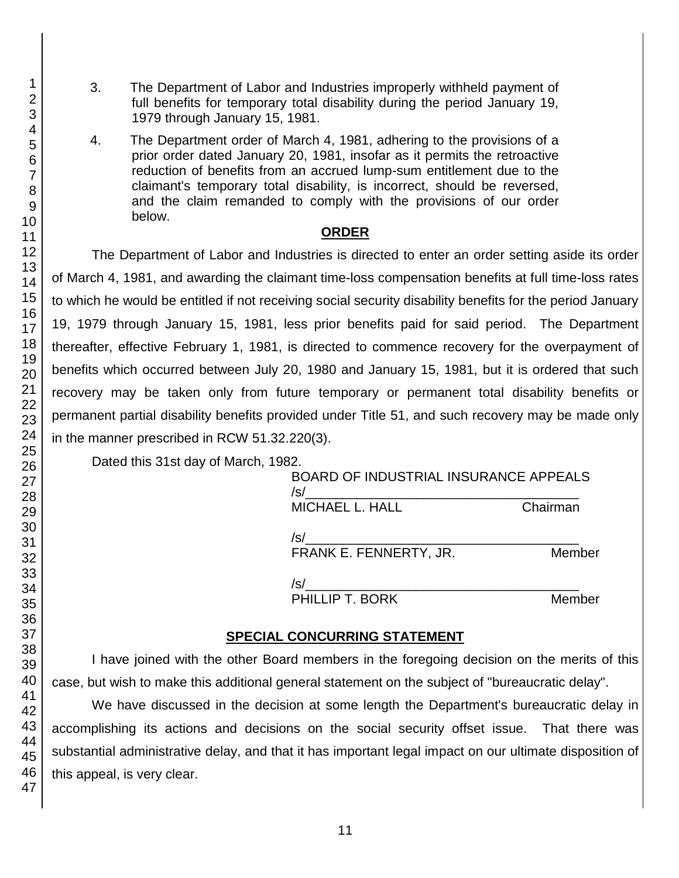- 3. The Department of Labor and Industries improperly withheld payment of full benefits for temporary total disability during the period January 19, 1979 through January 15, 1981.
- 4. The Department order of March 4, 1981, adhering to the provisions of a prior order dated January 20, 1981, insofar as it permits the retroactive reduction of benefits from an accrued lump-sum entitlement due to the claimant's temporary total disability, is incorrect, should be reversed, and the claim remanded to comply with the provisions of our order below.

## **ORDER**

The Department of Labor and Industries is directed to enter an order setting aside its order of March 4, 1981, and awarding the claimant time-loss compensation benefits at full time-loss rates to which he would be entitled if not receiving social security disability benefits for the period January 19, 1979 through January 15, 1981, less prior benefits paid for said period. The Department thereafter, effective February 1, 1981, is directed to commence recovery for the overpayment of benefits which occurred between July 20, 1980 and January 15, 1981, but it is ordered that such recovery may be taken only from future temporary or permanent total disability benefits or permanent partial disability benefits provided under Title 51, and such recovery may be made only in the manner prescribed in RCW 51.32.220(3).

Dated this 31st day of March, 1982.

| <b>BOARD OF INDUSTRIAL INSURANCE APPEALS</b><br>$\sqrt{s}$ |          |
|------------------------------------------------------------|----------|
| MICHAEL L. HALL                                            | Chairman |
| /s/<br>FRANK E. FENNERTY, JR.                              | Member   |
| $\sqrt{s}$                                                 |          |
| PHILLIP T. BORK                                            | Member   |

## **SPECIAL CONCURRING STATEMENT**

I have joined with the other Board members in the foregoing decision on the merits of this case, but wish to make this additional general statement on the subject of "bureaucratic delay".

We have discussed in the decision at some length the Department's bureaucratic delay in accomplishing its actions and decisions on the social security offset issue. That there was substantial administrative delay, and that it has important legal impact on our ultimate disposition of this appeal, is very clear.

1